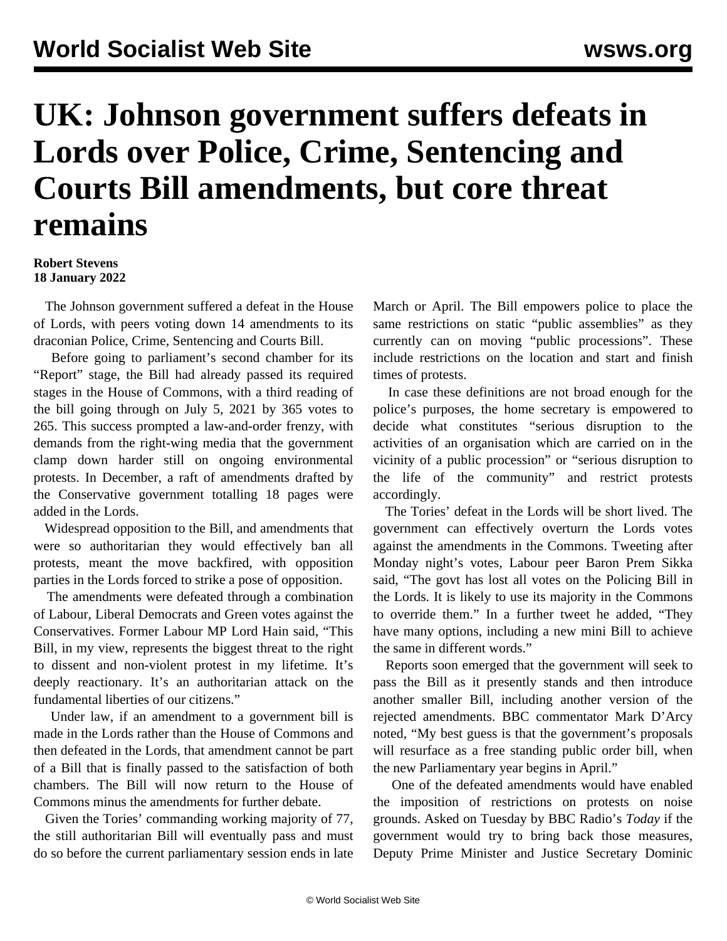## **UK: Johnson government suffers defeats in Lords over Police, Crime, Sentencing and Courts Bill amendments, but core threat remains**

## **Robert Stevens 18 January 2022**

 The Johnson government suffered a defeat in the House of Lords, with peers voting down 14 amendments to its draconian Police, Crime, Sentencing and Courts Bill.

 Before going to parliament's second chamber for its "Report" stage, the Bill had already passed its required stages in the House of Commons, with a third reading of the bill going through on July 5, 2021 by 365 votes to 265. This success prompted a law-and-order frenzy, with demands from the right-wing media that the government clamp down harder still on ongoing environmental protests. In December, a raft of amendments drafted by the Conservative government totalling 18 pages were added in the Lords.

 Widespread opposition to the Bill, and amendments that were so authoritarian they would effectively ban all protests, meant the move backfired, with opposition parties in the Lords forced to strike a pose of opposition.

 The amendments were defeated through a combination of Labour, Liberal Democrats and Green votes against the Conservatives. Former Labour MP Lord Hain said, "This Bill, in my view, represents the biggest threat to the right to dissent and non-violent protest in my lifetime. It's deeply reactionary. It's an authoritarian attack on the fundamental liberties of our citizens."

 Under law, if an amendment to a government bill is made in the Lords rather than the House of Commons and then defeated in the Lords, that amendment cannot be part of a Bill that is finally passed to the satisfaction of both chambers. The Bill will now return to the House of Commons minus the amendments for further debate.

 Given the Tories' commanding working majority of 77, the still authoritarian Bill will eventually pass and must do so before the current parliamentary session ends in late March or April. The Bill empowers police to place the same restrictions on static "public assemblies" as they currently can on moving "public processions". These include restrictions on the location and start and finish times of protests.

 In case these definitions are not broad enough for the police's purposes, the home secretary is empowered to decide what constitutes "serious disruption to the activities of an organisation which are carried on in the vicinity of a public procession" or "serious disruption to the life of the community" and restrict protests accordingly.

 The Tories' defeat in the Lords will be short lived. The government can effectively overturn the Lords votes against the amendments in the Commons. Tweeting after Monday night's votes, Labour peer Baron Prem Sikka said, "The govt has lost all votes on the Policing Bill in the Lords. It is likely to use its majority in the Commons to override them." In a further tweet he added, "They have many options, including a new mini Bill to achieve the same in different words."

 Reports soon emerged that the government will seek to pass the Bill as it presently stands and then introduce another smaller Bill, including another version of the rejected amendments. BBC commentator Mark D'Arcy noted, "My best guess is that the government's proposals will resurface as a free standing public order bill, when the new Parliamentary year begins in April."

 One of the defeated amendments would have enabled the imposition of restrictions on protests on noise grounds. Asked on Tuesday by BBC Radio's *Today* if the government would try to bring back those measures, Deputy Prime Minister and Justice Secretary Dominic